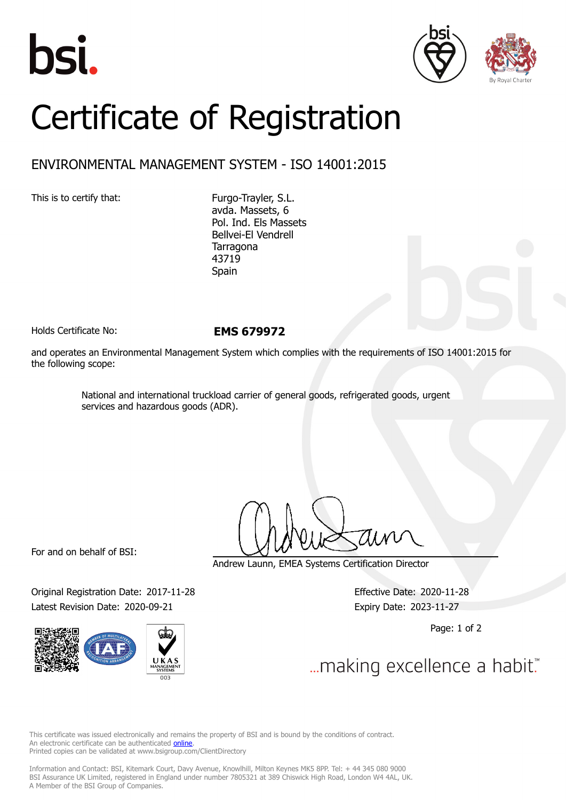





## Certificate of Registration

## ENVIRONMENTAL MANAGEMENT SYSTEM - ISO 14001:2015

This is to certify that: Furgo-Trayler, S.L.

avda. Massets, 6 Pol. Ind. Els Massets Bellvei-El Vendrell Tarragona 43719 Spain

Holds Certificate No: **EMS 679972**

and operates an Environmental Management System which complies with the requirements of ISO 14001:2015 for the following scope:

> National and international truckload carrier of general goods, refrigerated goods, urgent services and hazardous goods (ADR).

For and on behalf of BSI:

Original Registration Date: 2017-11-28 Effective Date: 2020-11-28 Latest Revision Date: 2020-09-21 Expiry Date: 2023-11-27



Andrew Launn, EMEA Systems Certification Director

Page: 1 of 2

... making excellence a habit."

This certificate was issued electronically and remains the property of BSI and is bound by the conditions of contract. An electronic certificate can be authenticated **[online](https://pgplus.bsigroup.com/CertificateValidation/CertificateValidator.aspx?CertificateNumber=EMS+679972&ReIssueDate=21%2f09%2f2020&Template=cemea_en)**. Printed copies can be validated at www.bsigroup.com/ClientDirectory

Information and Contact: BSI, Kitemark Court, Davy Avenue, Knowlhill, Milton Keynes MK5 8PP. Tel: + 44 345 080 9000 BSI Assurance UK Limited, registered in England under number 7805321 at 389 Chiswick High Road, London W4 4AL, UK. A Member of the BSI Group of Companies.